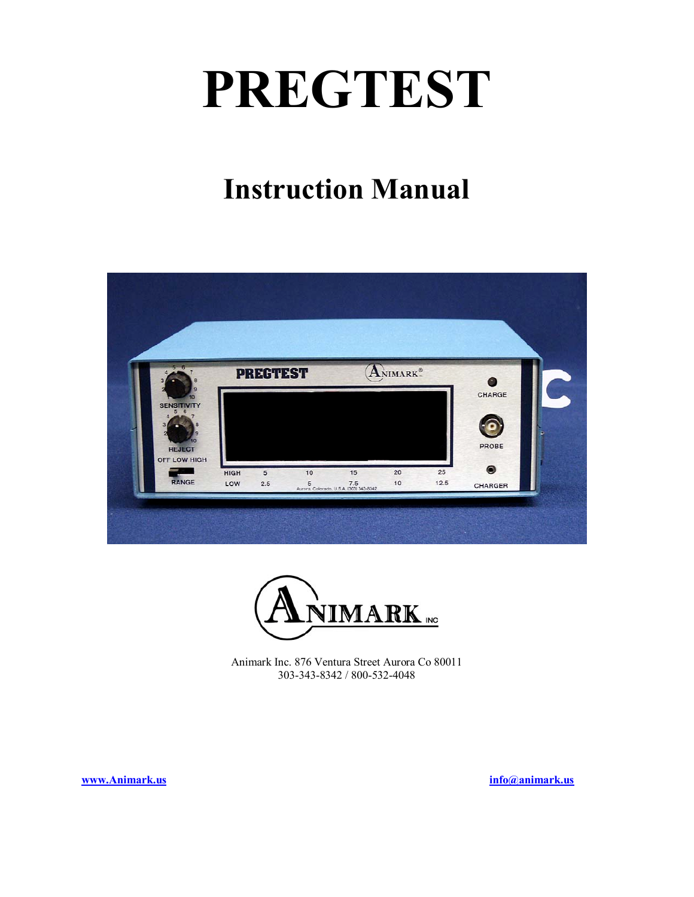# **PREGTEST**

## **Instruction Manual**





Animark Inc. 876 Ventura Street Aurora Co 80011 303-343-8342 / 800-532-4048

**www.Animark.us info@animark.us**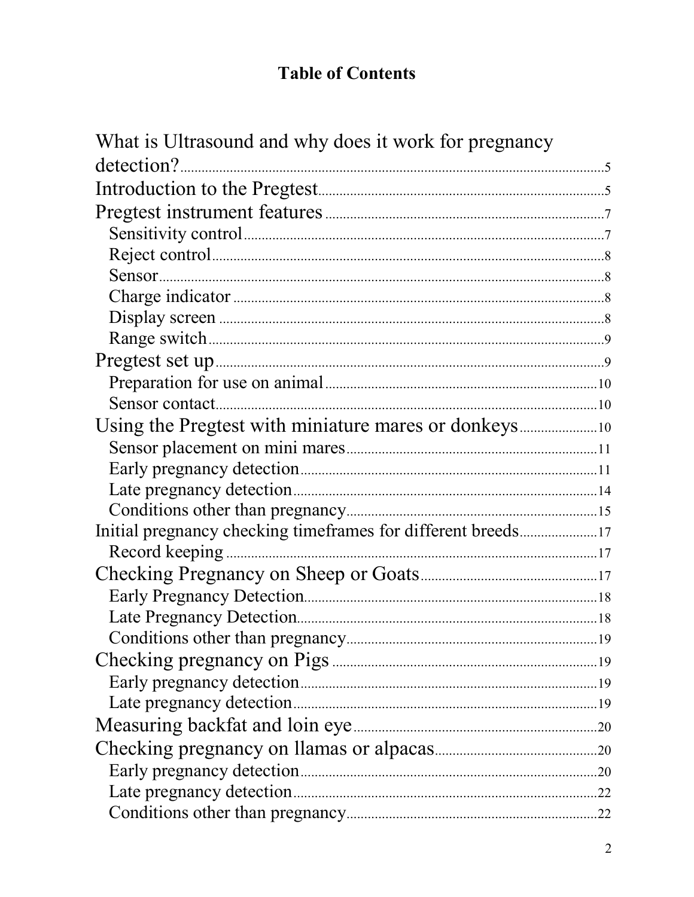## **Table of Contents**

| What is Ultrasound and why does it work for pregnancy |  |
|-------------------------------------------------------|--|
| detection?                                            |  |
|                                                       |  |
|                                                       |  |
|                                                       |  |
|                                                       |  |
|                                                       |  |
|                                                       |  |
|                                                       |  |
|                                                       |  |
|                                                       |  |
|                                                       |  |
|                                                       |  |
|                                                       |  |
|                                                       |  |
|                                                       |  |
|                                                       |  |
|                                                       |  |
|                                                       |  |
|                                                       |  |
|                                                       |  |
|                                                       |  |
|                                                       |  |
|                                                       |  |
|                                                       |  |
|                                                       |  |
|                                                       |  |
|                                                       |  |
|                                                       |  |
|                                                       |  |
|                                                       |  |
|                                                       |  |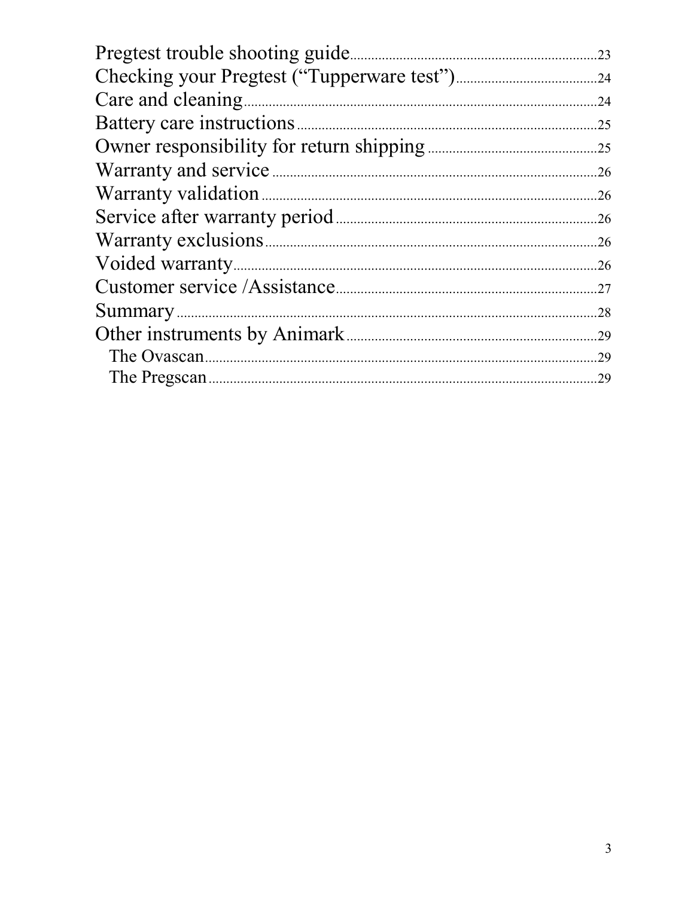| Pregtest trouble shooting guide. | 23  |
|----------------------------------|-----|
|                                  |     |
| Care and cleaning                | .24 |
| Battery care instructions.       | .25 |
|                                  | .25 |
|                                  | .26 |
|                                  | .26 |
|                                  | .26 |
|                                  | .26 |
| Voided warranty.                 | .26 |
|                                  | .27 |
|                                  | 28  |
| Other instruments by Animark.    | 29  |
|                                  | .29 |
|                                  | 29  |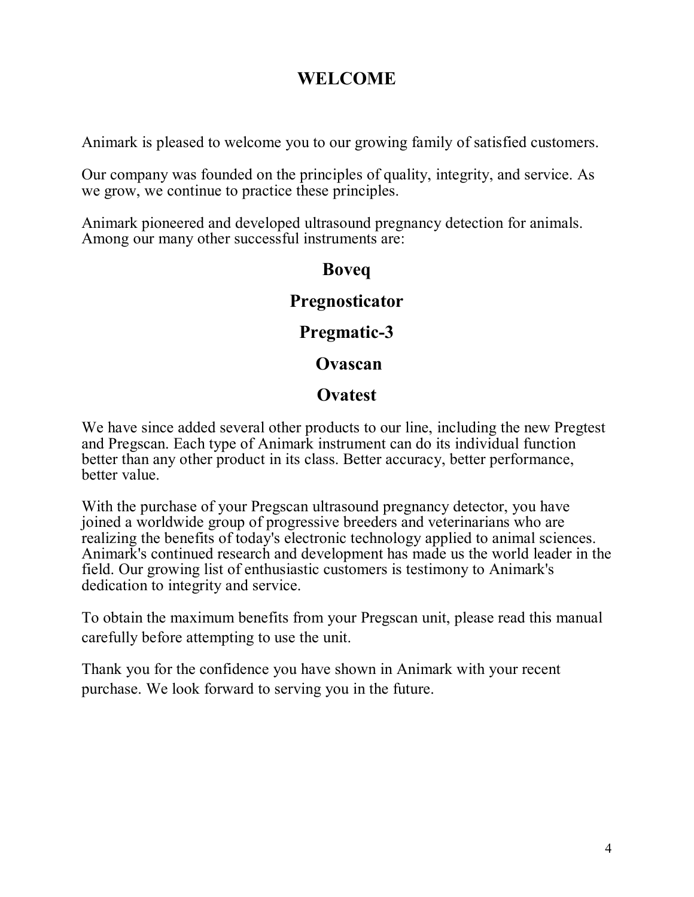#### **WELCOME**

Animark is pleased to welcome you to our growing family of satisfied customers.

Our company was founded on the principles of quality, integrity, and service. As we grow, we continue to practice these principles.

Animark pioneered and developed ultrasound pregnancy detection for animals. Among our many other successful instruments are:

#### **Boveq**

#### **Pregnosticator**

#### **Pregmatic-3**

#### **Ovascan**

#### **Ovatest**

We have since added several other products to our line, including the new Pregtest and Pregscan. Each type of Animark instrument can do its individual function better than any other product in its class. Better accuracy, better performance, better value.

With the purchase of your Pregscan ultrasound pregnancy detector, you have joined a worldwide group of progressive breeders and veterinarians who are realizing the benefits of today's electronic technology applied to animal sciences. Animark's continued research and development has made us the world leader in the field. Our growing list of enthusiastic customers is testimony to Animark's dedication to integrity and service.

To obtain the maximum benefits from your Pregscan unit, please read this manual carefully before attempting to use the unit.

Thank you for the confidence you have shown in Animark with your recent purchase. We look forward to serving you in the future.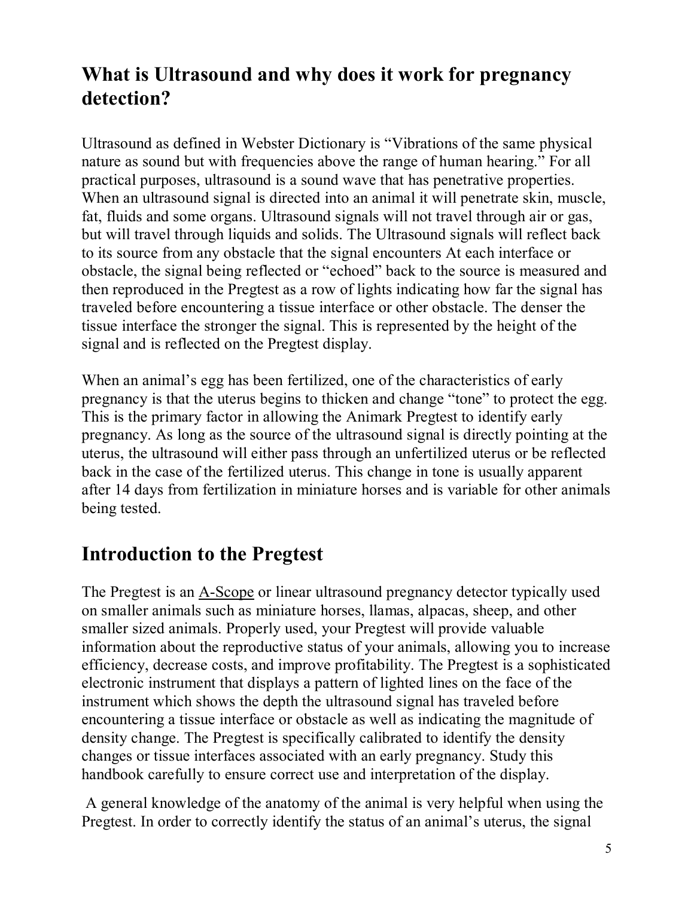## **What is Ultrasound and why does it work for pregnancy detection?**

Ultrasound as defined in Webster Dictionary is "Vibrations of the same physical nature as sound but with frequencies above the range of human hearing." For all practical purposes, ultrasound is a sound wave that has penetrative properties. When an ultrasound signal is directed into an animal it will penetrate skin, muscle, fat, fluids and some organs. Ultrasound signals will not travel through air or gas, but will travel through liquids and solids. The Ultrasound signals will reflect back to its source from any obstacle that the signal encounters At each interface or obstacle, the signal being reflected or "echoed" back to the source is measured and then reproduced in the Pregtest as a row of lights indicating how far the signal has traveled before encountering a tissue interface or other obstacle. The denser the tissue interface the stronger the signal. This is represented by the height of the signal and is reflected on the Pregtest display.

When an animal's egg has been fertilized, one of the characteristics of early pregnancy is that the uterus begins to thicken and change "tone" to protect the egg. This is the primary factor in allowing the Animark Pregtest to identify early pregnancy. As long as the source of the ultrasound signal is directly pointing at the uterus, the ultrasound will either pass through an unfertilized uterus or be reflected back in the case of the fertilized uterus. This change in tone is usually apparent after 14 days from fertilization in miniature horses and is variable for other animals being tested.

## **Introduction to the Pregtest**

The Pregtest is an A-Scope or linear ultrasound pregnancy detector typically used on smaller animals such as miniature horses, llamas, alpacas, sheep, and other smaller sized animals. Properly used, your Pregtest will provide valuable information about the reproductive status of your animals, allowing you to increase efficiency, decrease costs, and improve profitability. The Pregtest is a sophisticated electronic instrument that displays a pattern of lighted lines on the face of the instrument which shows the depth the ultrasound signal has traveled before encountering a tissue interface or obstacle as well as indicating the magnitude of density change. The Pregtest is specifically calibrated to identify the density changes or tissue interfaces associated with an early pregnancy. Study this handbook carefully to ensure correct use and interpretation of the display.

 A general knowledge of the anatomy of the animal is very helpful when using the Pregtest. In order to correctly identify the status of an animal's uterus, the signal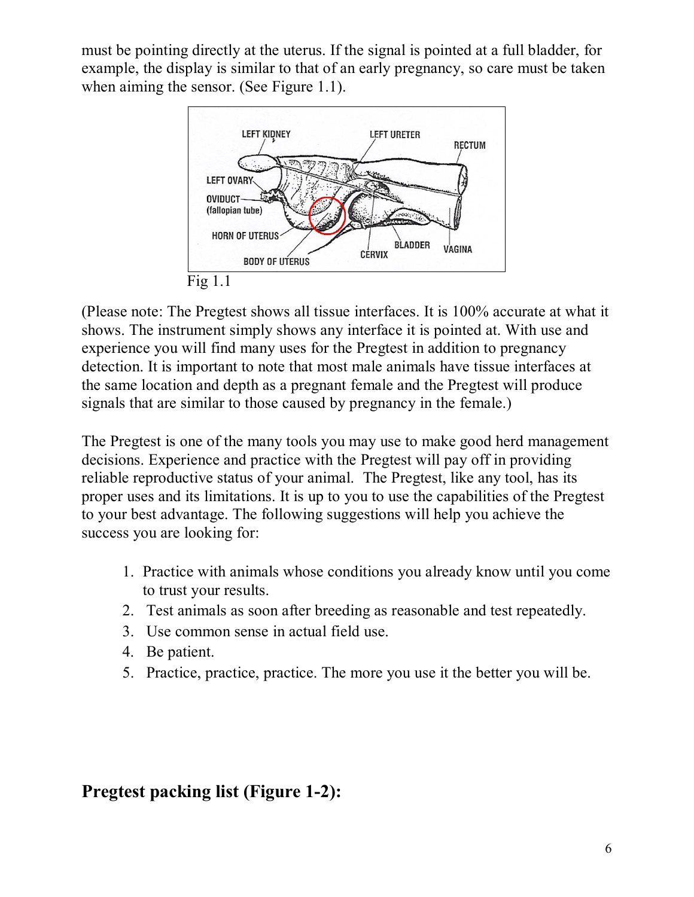must be pointing directly at the uterus. If the signal is pointed at a full bladder, for example, the display is similar to that of an early pregnancy, so care must be taken when aiming the sensor. (See Figure 1.1).



(Please note: The Pregtest shows all tissue interfaces. It is 100% accurate at what it shows. The instrument simply shows any interface it is pointed at. With use and experience you will find many uses for the Pregtest in addition to pregnancy detection. It is important to note that most male animals have tissue interfaces at the same location and depth as a pregnant female and the Pregtest will produce signals that are similar to those caused by pregnancy in the female.)

The Pregtest is one of the many tools you may use to make good herd management decisions. Experience and practice with the Pregtest will pay off in providing reliable reproductive status of your animal. The Pregtest, like any tool, has its proper uses and its limitations. It is up to you to use the capabilities of the Pregtest to your best advantage. The following suggestions will help you achieve the success you are looking for:

- 1. Practice with animals whose conditions you already know until you come to trust your results.
- 2. Test animals as soon after breeding as reasonable and test repeatedly.
- 3. Use common sense in actual field use.
- 4. Be patient.
- 5. Practice, practice, practice. The more you use it the better you will be.

#### **Pregtest packing list (Figure 1-2):**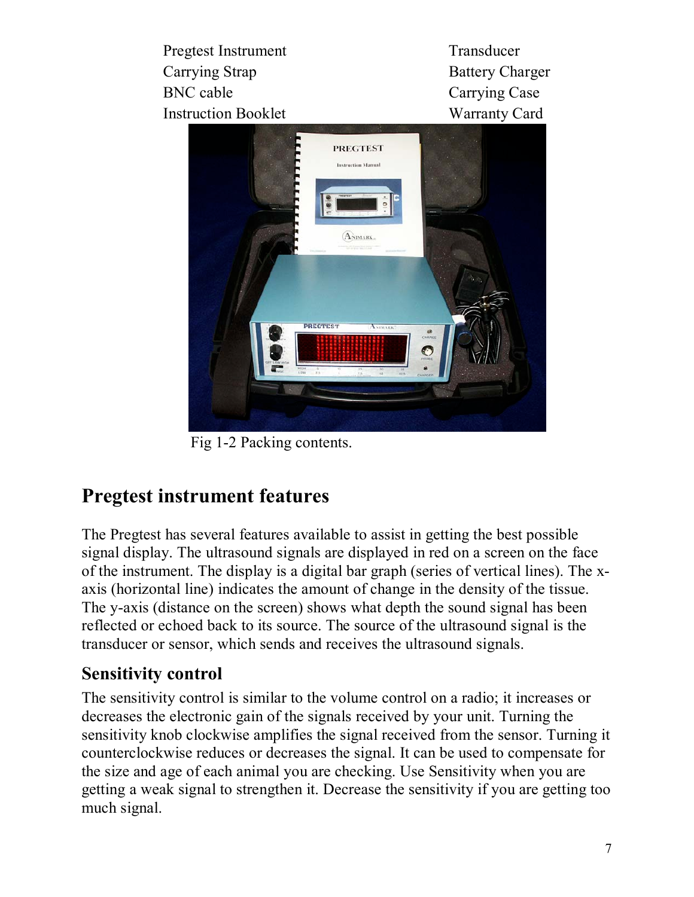Pregtest Instrument Transducer Carrying Strap Battery Charger BNC cable Carrying Case Instruction Booklet Warranty Card



Fig 1-2 Packing contents.

## **Pregtest instrument features**

The Pregtest has several features available to assist in getting the best possible signal display. The ultrasound signals are displayed in red on a screen on the face of the instrument. The display is a digital bar graph (series of vertical lines). The xaxis (horizontal line) indicates the amount of change in the density of the tissue. The y-axis (distance on the screen) shows what depth the sound signal has been reflected or echoed back to its source. The source of the ultrasound signal is the transducer or sensor, which sends and receives the ultrasound signals.

## **Sensitivity control**

The sensitivity control is similar to the volume control on a radio; it increases or decreases the electronic gain of the signals received by your unit. Turning the sensitivity knob clockwise amplifies the signal received from the sensor. Turning it counterclockwise reduces or decreases the signal. It can be used to compensate for the size and age of each animal you are checking. Use Sensitivity when you are getting a weak signal to strengthen it. Decrease the sensitivity if you are getting too much signal.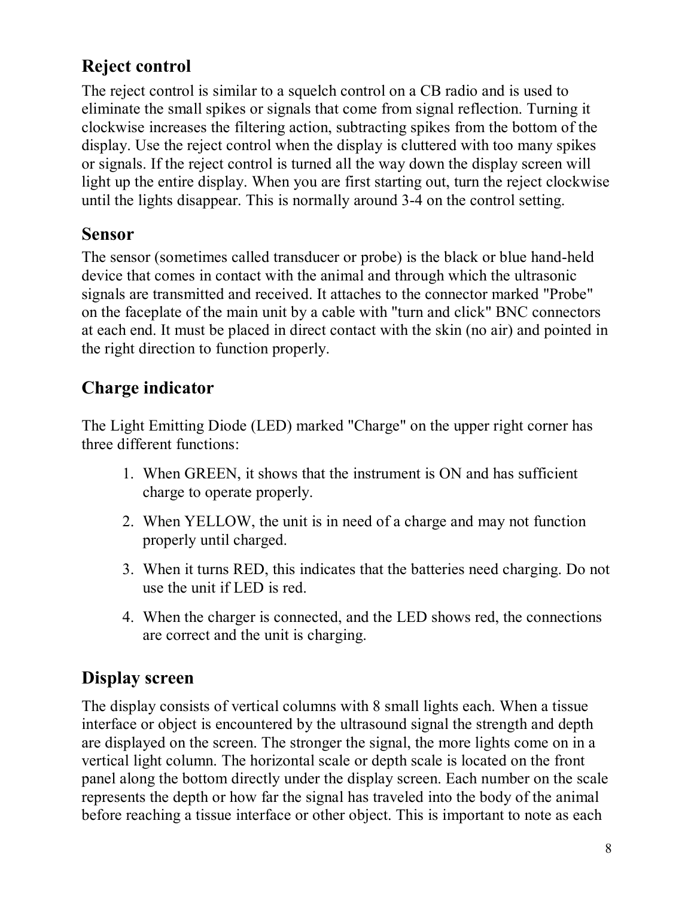## **Reject control**

The reject control is similar to a squelch control on a CB radio and is used to eliminate the small spikes or signals that come from signal reflection. Turning it clockwise increases the filtering action, subtracting spikes from the bottom of the display. Use the reject control when the display is cluttered with too many spikes or signals. If the reject control is turned all the way down the display screen will light up the entire display. When you are first starting out, turn the reject clockwise until the lights disappear. This is normally around 3-4 on the control setting.

#### **Sensor**

The sensor (sometimes called transducer or probe) is the black or blue hand-held device that comes in contact with the animal and through which the ultrasonic signals are transmitted and received. It attaches to the connector marked "Probe" on the faceplate of the main unit by a cable with "turn and click" BNC connectors at each end. It must be placed in direct contact with the skin (no air) and pointed in the right direction to function properly.

## **Charge indicator**

The Light Emitting Diode (LED) marked "Charge" on the upper right corner has three different functions:

- 1. When GREEN, it shows that the instrument is ON and has sufficient charge to operate properly.
- 2. When YELLOW, the unit is in need of a charge and may not function properly until charged.
- 3. When it turns RED, this indicates that the batteries need charging. Do not use the unit if LED is red.
- 4. When the charger is connected, and the LED shows red, the connections are correct and the unit is charging.

#### **Display screen**

The display consists of vertical columns with 8 small lights each. When a tissue interface or object is encountered by the ultrasound signal the strength and depth are displayed on the screen. The stronger the signal, the more lights come on in a vertical light column. The horizontal scale or depth scale is located on the front panel along the bottom directly under the display screen. Each number on the scale represents the depth or how far the signal has traveled into the body of the animal before reaching a tissue interface or other object. This is important to note as each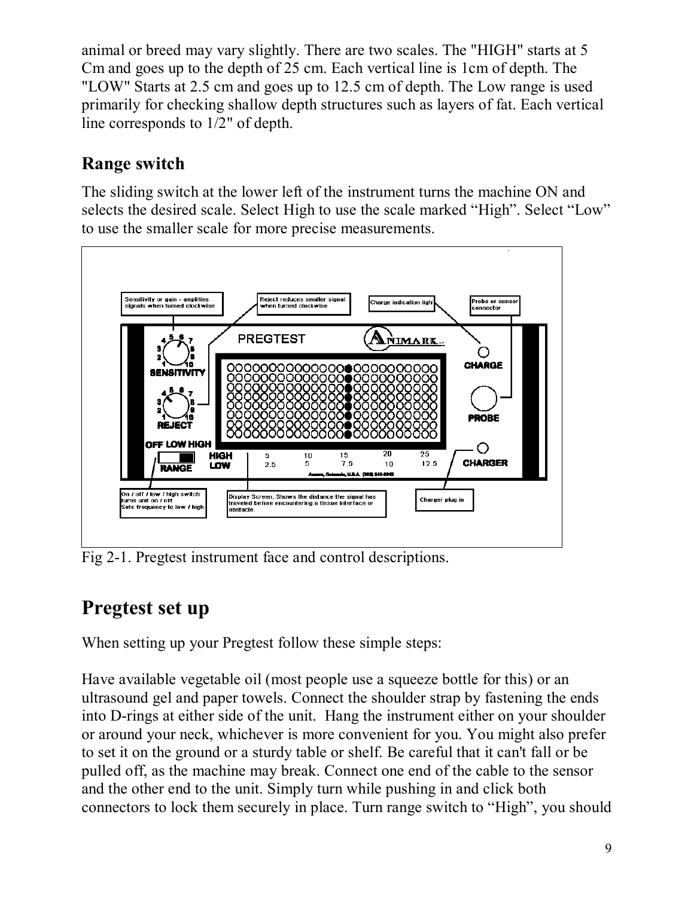animal or breed may vary slightly. There are two scales. The "HIGH" starts at 5 Cm and goes up to the depth of 25 cm. Each vertical line is 1cm of depth. The "LOW" Starts at 2.5 cm and goes up to 12.5 cm of depth. The Low range is used primarily for checking shallow depth structures such as layers of fat. Each vertical line corresponds to 1/2" of depth.

## **Range switch**

The sliding switch at the lower left of the instrument turns the machine ON and selects the desired scale. Select High to use the scale marked "High". Select "Low" to use the smaller scale for more precise measurements.



Fig 2-1. Pregtest instrument face and control descriptions.

## **Pregtest set up**

When setting up your Pregtest follow these simple steps:

Have available vegetable oil (most people use a squeeze bottle for this) or an ultrasound gel and paper towels. Connect the shoulder strap by fastening the ends into D-rings at either side of the unit. Hang the instrument either on your shoulder or around your neck, whichever is more convenient for you. You might also prefer to set it on the ground or a sturdy table or shelf. Be careful that it can't fall or be pulled off, as the machine may break. Connect one end of the cable to the sensor and the other end to the unit. Simply turn while pushing in and click both connectors to lock them securely in place. Turn range switch to "High", you should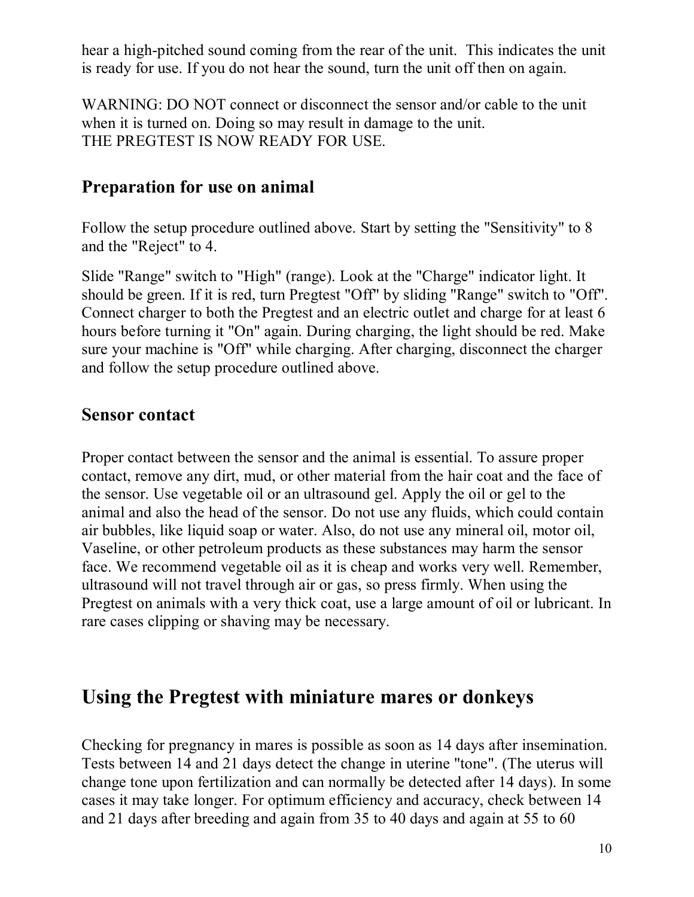hear a high-pitched sound coming from the rear of the unit. This indicates the unit is ready for use. If you do not hear the sound, turn the unit off then on again.

WARNING: DO NOT connect or disconnect the sensor and/or cable to the unit when it is turned on. Doing so may result in damage to the unit. THE PREGTEST IS NOW READY FOR USE.

#### **Preparation for use on animal**

Follow the setup procedure outlined above. Start by setting the "Sensitivity" to 8 and the "Reject" to 4.

Slide "Range" switch to "High" (range). Look at the "Charge" indicator light. It should be green. If it is red, turn Pregtest "Off" by sliding "Range" switch to "Off". Connect charger to both the Pregtest and an electric outlet and charge for at least 6 hours before turning it "On" again. During charging, the light should be red. Make sure your machine is "Off" while charging. After charging, disconnect the charger and follow the setup procedure outlined above.

#### **Sensor contact**

Proper contact between the sensor and the animal is essential. To assure proper contact, remove any dirt, mud, or other material from the hair coat and the face of the sensor. Use vegetable oil or an ultrasound gel. Apply the oil or gel to the animal and also the head of the sensor. Do not use any fluids, which could contain air bubbles, like liquid soap or water. Also, do not use any mineral oil, motor oil, Vaseline, or other petroleum products as these substances may harm the sensor face. We recommend vegetable oil as it is cheap and works very well. Remember, ultrasound will not travel through air or gas, so press firmly. When using the Pregtest on animals with a very thick coat, use a large amount of oil or lubricant. In rare cases clipping or shaving may be necessary.

#### **Using the Pregtest with miniature mares or donkeys**

Checking for pregnancy in mares is possible as soon as 14 days after insemination. Tests between 14 and 21 days detect the change in uterine "tone". (The uterus will change tone upon fertilization and can normally be detected after 14 days). In some cases it may take longer. For optimum efficiency and accuracy, check between 14 and 21 days after breeding and again from 35 to 40 days and again at 55 to 60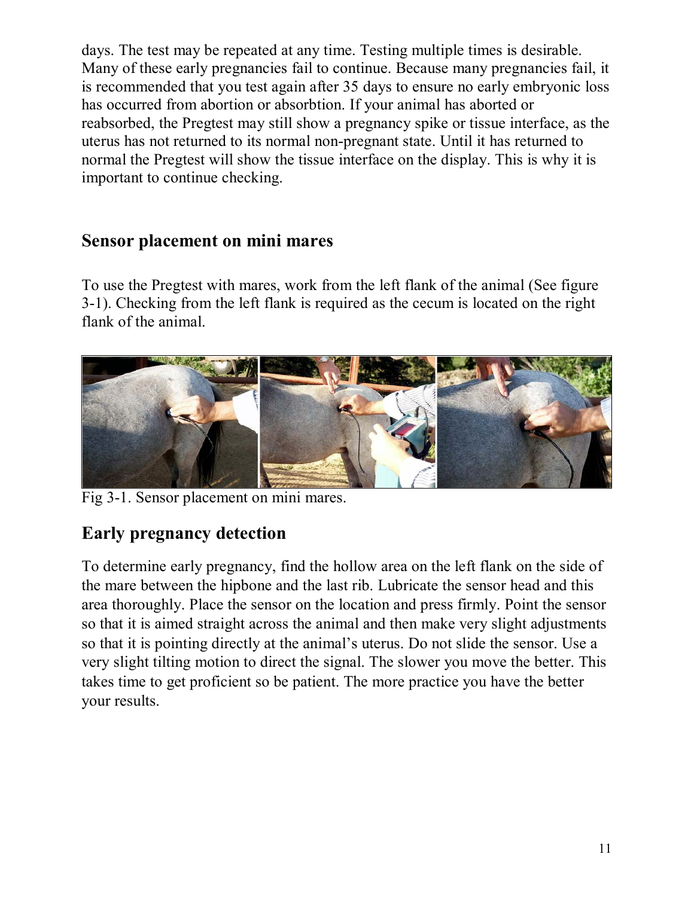days. The test may be repeated at any time. Testing multiple times is desirable. Many of these early pregnancies fail to continue. Because many pregnancies fail, it is recommended that you test again after 35 days to ensure no early embryonic loss has occurred from abortion or absorbtion. If your animal has aborted or reabsorbed, the Pregtest may still show a pregnancy spike or tissue interface, as the uterus has not returned to its normal non-pregnant state. Until it has returned to normal the Pregtest will show the tissue interface on the display. This is why it is important to continue checking.

#### **Sensor placement on mini mares**

To use the Pregtest with mares, work from the left flank of the animal (See figure 3-1). Checking from the left flank is required as the cecum is located on the right flank of the animal.



Fig 3-1. Sensor placement on mini mares.

## **Early pregnancy detection**

To determine early pregnancy, find the hollow area on the left flank on the side of the mare between the hipbone and the last rib. Lubricate the sensor head and this area thoroughly. Place the sensor on the location and press firmly. Point the sensor so that it is aimed straight across the animal and then make very slight adjustments so that it is pointing directly at the animal's uterus. Do not slide the sensor. Use a very slight tilting motion to direct the signal. The slower you move the better. This takes time to get proficient so be patient. The more practice you have the better your results.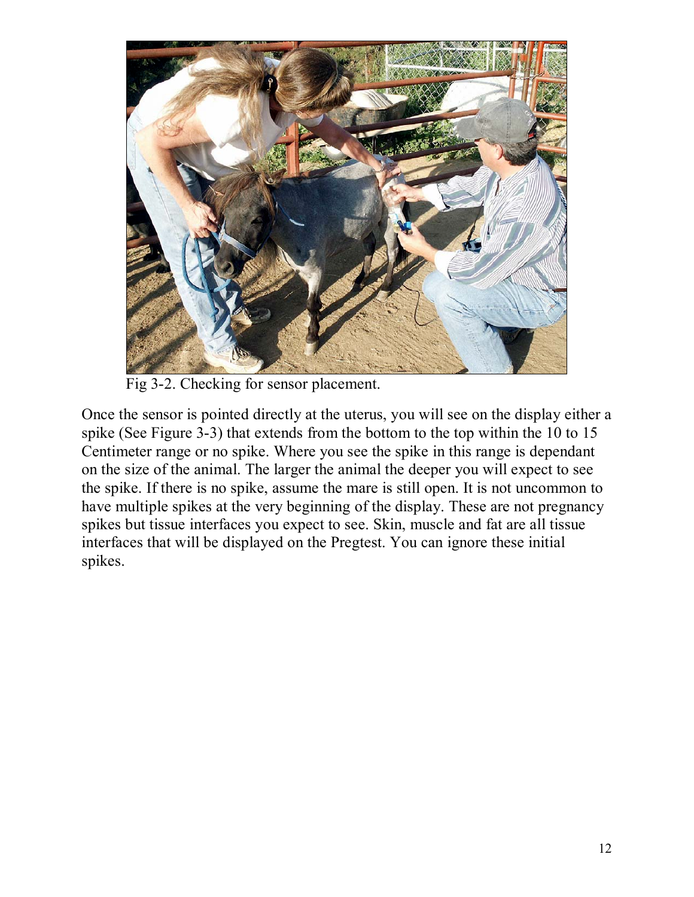

Fig 3-2. Checking for sensor placement.

Once the sensor is pointed directly at the uterus, you will see on the display either a spike (See Figure 3-3) that extends from the bottom to the top within the 10 to 15 Centimeter range or no spike. Where you see the spike in this range is dependant on the size of the animal. The larger the animal the deeper you will expect to see the spike. If there is no spike, assume the mare is still open. It is not uncommon to have multiple spikes at the very beginning of the display. These are not pregnancy spikes but tissue interfaces you expect to see. Skin, muscle and fat are all tissue interfaces that will be displayed on the Pregtest. You can ignore these initial spikes.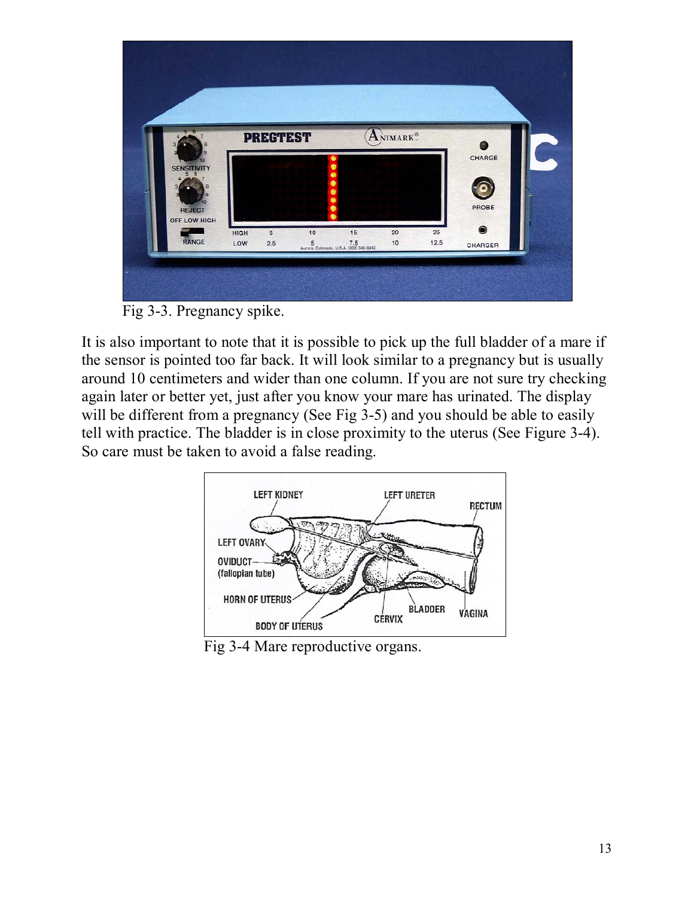| $5 - 6$            |             | <b>PREGTEST</b> |    |                                                        | ANIMARK <sup>®</sup> |            |           |  |
|--------------------|-------------|-----------------|----|--------------------------------------------------------|----------------------|------------|-----------|--|
|                    |             |                 |    |                                                        |                      |            | CHARGE    |  |
| <b>SENSITIVITY</b> |             |                 |    |                                                        |                      |            |           |  |
|                    |             |                 |    | G                                                      |                      |            |           |  |
| <b>REJECT</b>      |             |                 |    |                                                        |                      |            | PROBE     |  |
| OFF LOW HIGH       |             |                 |    |                                                        |                      |            | $\bullet$ |  |
| RANGE              | HIGH<br>LOW | 5<br>2.5        | 10 | 15<br>5 7.5<br>Aurora, Colorado, U.S.A. (303) 343-8342 | 20<br>10             | 25<br>12.5 | CHARGER   |  |
|                    |             |                 |    |                                                        |                      |            |           |  |

Fig 3-3. Pregnancy spike.

It is also important to note that it is possible to pick up the full bladder of a mare if the sensor is pointed too far back. It will look similar to a pregnancy but is usually around 10 centimeters and wider than one column. If you are not sure try checking again later or better yet, just after you know your mare has urinated. The display will be different from a pregnancy (See Fig 3-5) and you should be able to easily tell with practice. The bladder is in close proximity to the uterus (See Figure 3-4). So care must be taken to avoid a false reading.



Fig 3-4 Mare reproductive organs.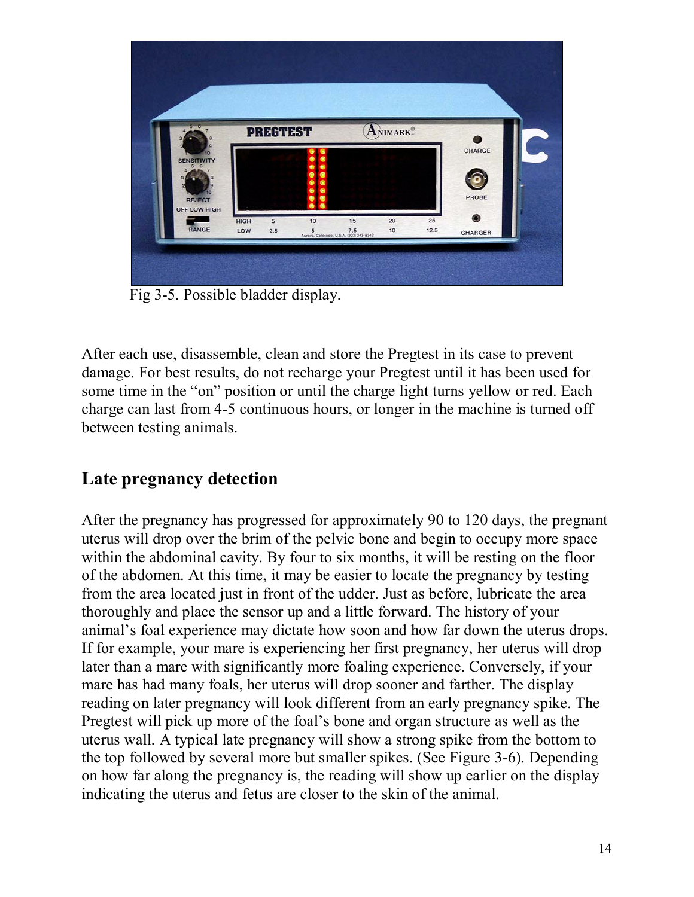| 5 <sub>6</sub>                |                    | <b>PREGTEST</b>       |                     |                                                        | ANIMARK® |            | a                    |
|-------------------------------|--------------------|-----------------------|---------------------|--------------------------------------------------------|----------|------------|----------------------|
| <b>SENSITIVITY</b>            |                    |                       | ٠<br>٠              |                                                        |          |            | CHARGE               |
|                               |                    |                       | $\bullet$<br>٠<br>۰ |                                                        |          |            |                      |
| <b>REJECT</b><br>OFF LOW HIGH |                    |                       |                     |                                                        |          |            | PROBE                |
| RANGE                         | <b>HIGH</b><br>LOW | $\overline{5}$<br>2.5 | 10                  | 15<br>5 7.5<br>Aurora, Colorado, U.S.A. (303) 343-8342 | 20<br>10 | 25<br>12.5 | $\bullet$<br>CHARGER |

Fig 3-5. Possible bladder display.

After each use, disassemble, clean and store the Pregtest in its case to prevent damage. For best results, do not recharge your Pregtest until it has been used for some time in the "on" position or until the charge light turns yellow or red. Each charge can last from 4-5 continuous hours, or longer in the machine is turned off between testing animals.

#### **Late pregnancy detection**

After the pregnancy has progressed for approximately 90 to 120 days, the pregnant uterus will drop over the brim of the pelvic bone and begin to occupy more space within the abdominal cavity. By four to six months, it will be resting on the floor of the abdomen. At this time, it may be easier to locate the pregnancy by testing from the area located just in front of the udder. Just as before, lubricate the area thoroughly and place the sensor up and a little forward. The history of your animal's foal experience may dictate how soon and how far down the uterus drops. If for example, your mare is experiencing her first pregnancy, her uterus will drop later than a mare with significantly more foaling experience. Conversely, if your mare has had many foals, her uterus will drop sooner and farther. The display reading on later pregnancy will look different from an early pregnancy spike. The Pregtest will pick up more of the foal's bone and organ structure as well as the uterus wall. A typical late pregnancy will show a strong spike from the bottom to the top followed by several more but smaller spikes. (See Figure 3-6). Depending on how far along the pregnancy is, the reading will show up earlier on the display indicating the uterus and fetus are closer to the skin of the animal.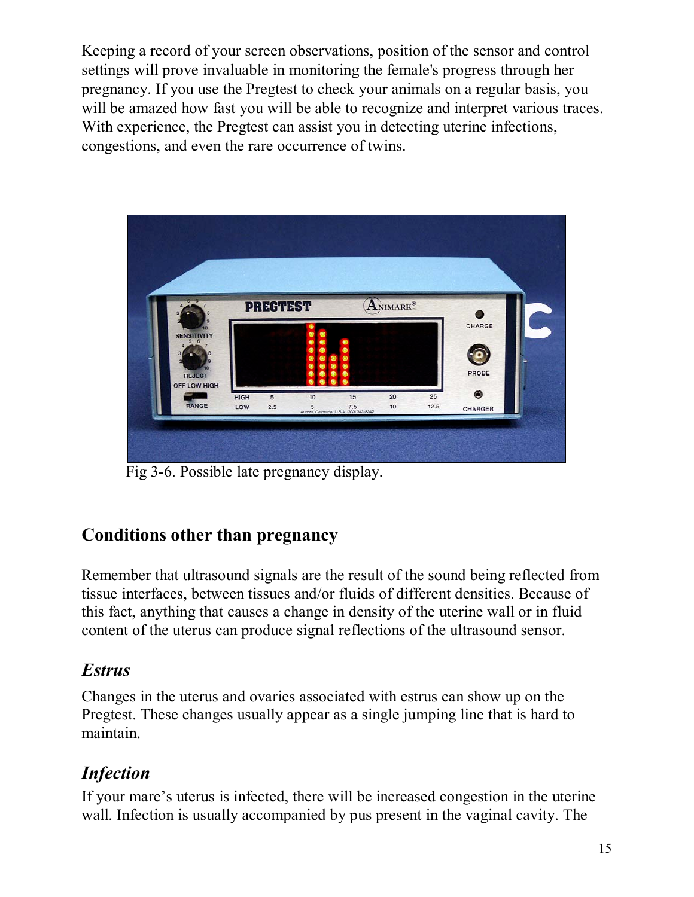Keeping a record of your screen observations, position of the sensor and control settings will prove invaluable in monitoring the female's progress through her pregnancy. If you use the Pregtest to check your animals on a regular basis, you will be amazed how fast you will be able to recognize and interpret various traces. With experience, the Pregtest can assist you in detecting uterine infections, congestions, and even the rare occurrence of twins.



Fig 3-6. Possible late pregnancy display.

#### **Conditions other than pregnancy**

Remember that ultrasound signals are the result of the sound being reflected from tissue interfaces, between tissues and/or fluids of different densities. Because of this fact, anything that causes a change in density of the uterine wall or in fluid content of the uterus can produce signal reflections of the ultrasound sensor.

#### *Estrus*

Changes in the uterus and ovaries associated with estrus can show up on the Pregtest. These changes usually appear as a single jumping line that is hard to maintain.

#### *Infection*

If your mare's uterus is infected, there will be increased congestion in the uterine wall. Infection is usually accompanied by pus present in the vaginal cavity. The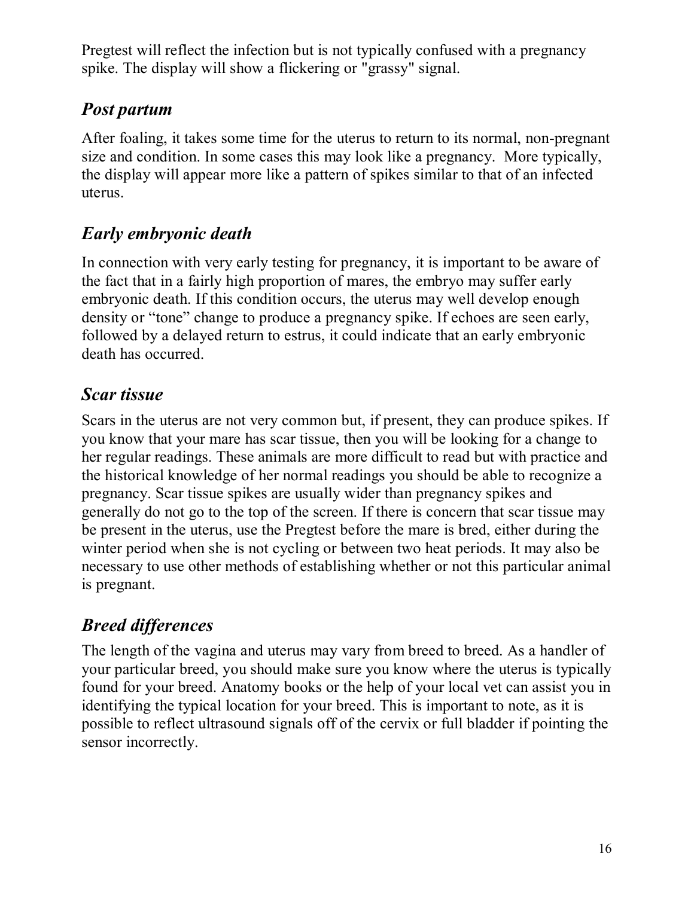Pregtest will reflect the infection but is not typically confused with a pregnancy spike. The display will show a flickering or "grassy" signal.

#### *Post partum*

After foaling, it takes some time for the uterus to return to its normal, non-pregnant size and condition. In some cases this may look like a pregnancy. More typically, the display will appear more like a pattern of spikes similar to that of an infected uterus.

#### *Early embryonic death*

In connection with very early testing for pregnancy, it is important to be aware of the fact that in a fairly high proportion of mares, the embryo may suffer early embryonic death. If this condition occurs, the uterus may well develop enough density or "tone" change to produce a pregnancy spike. If echoes are seen early, followed by a delayed return to estrus, it could indicate that an early embryonic death has occurred.

#### *Scar tissue*

Scars in the uterus are not very common but, if present, they can produce spikes. If you know that your mare has scar tissue, then you will be looking for a change to her regular readings. These animals are more difficult to read but with practice and the historical knowledge of her normal readings you should be able to recognize a pregnancy. Scar tissue spikes are usually wider than pregnancy spikes and generally do not go to the top of the screen. If there is concern that scar tissue may be present in the uterus, use the Pregtest before the mare is bred, either during the winter period when she is not cycling or between two heat periods. It may also be necessary to use other methods of establishing whether or not this particular animal is pregnant.

## *Breed differences*

The length of the vagina and uterus may vary from breed to breed. As a handler of your particular breed, you should make sure you know where the uterus is typically found for your breed. Anatomy books or the help of your local vet can assist you in identifying the typical location for your breed. This is important to note, as it is possible to reflect ultrasound signals off of the cervix or full bladder if pointing the sensor incorrectly.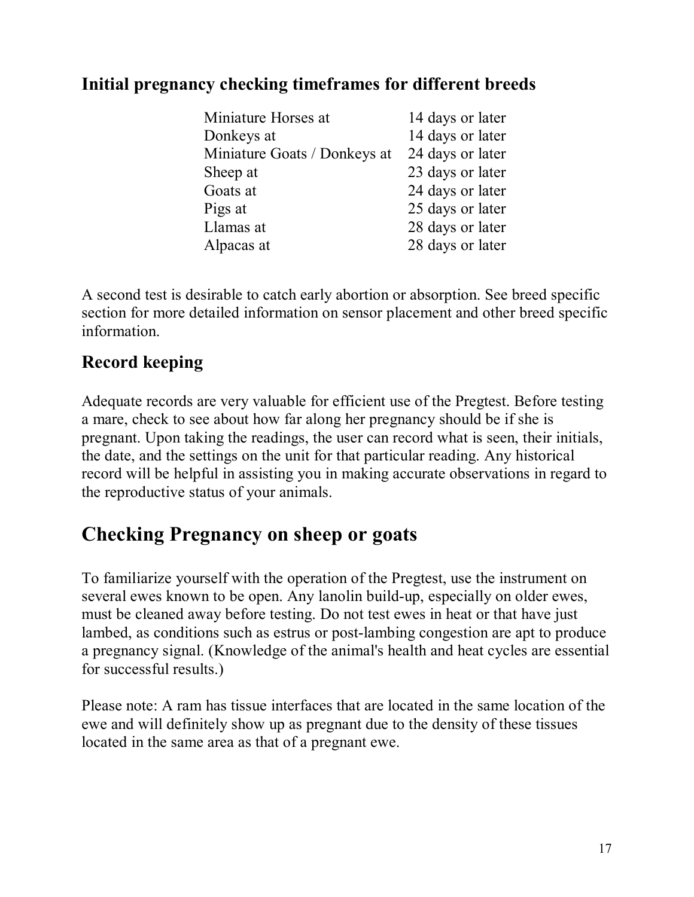#### **Initial pregnancy checking timeframes for different breeds**

| Miniature Horses at          | 14 days or later |
|------------------------------|------------------|
| Donkeys at                   | 14 days or later |
| Miniature Goats / Donkeys at | 24 days or later |
| Sheep at                     | 23 days or later |
| Goats at                     | 24 days or later |
| Pigs at                      | 25 days or later |
| Llamas at                    | 28 days or later |
| Alpacas at                   | 28 days or later |

A second test is desirable to catch early abortion or absorption. See breed specific section for more detailed information on sensor placement and other breed specific information.

#### **Record keeping**

Adequate records are very valuable for efficient use of the Pregtest. Before testing a mare, check to see about how far along her pregnancy should be if she is pregnant. Upon taking the readings, the user can record what is seen, their initials, the date, and the settings on the unit for that particular reading. Any historical record will be helpful in assisting you in making accurate observations in regard to the reproductive status of your animals.

## **Checking Pregnancy on sheep or goats**

To familiarize yourself with the operation of the Pregtest, use the instrument on several ewes known to be open. Any lanolin build-up, especially on older ewes, must be cleaned away before testing. Do not test ewes in heat or that have just lambed, as conditions such as estrus or post-lambing congestion are apt to produce a pregnancy signal. (Knowledge of the animal's health and heat cycles are essential for successful results.)

Please note: A ram has tissue interfaces that are located in the same location of the ewe and will definitely show up as pregnant due to the density of these tissues located in the same area as that of a pregnant ewe.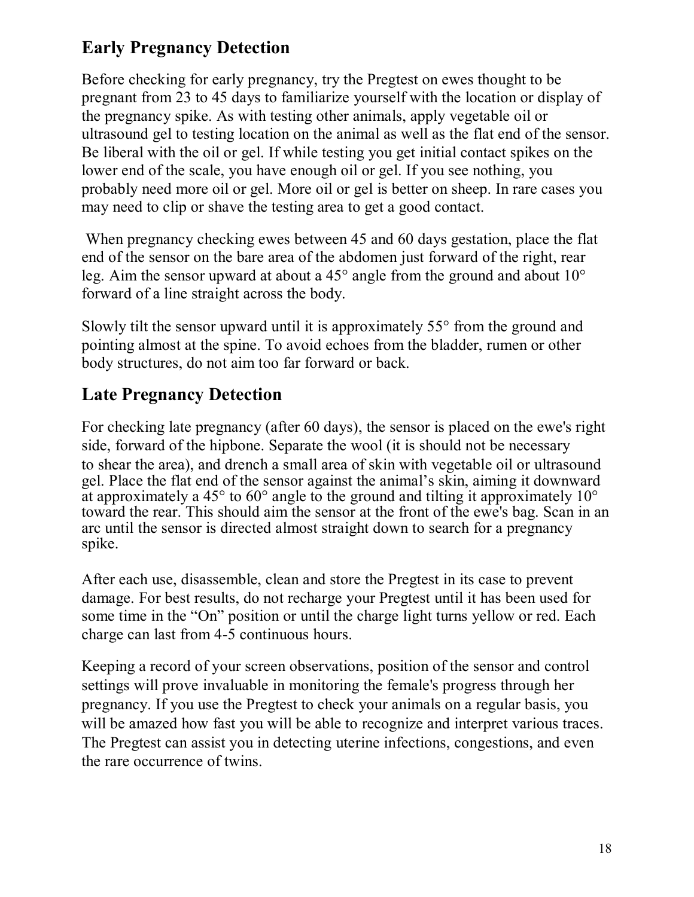### **Early Pregnancy Detection**

Before checking for early pregnancy, try the Pregtest on ewes thought to be pregnant from 23 to 45 days to familiarize yourself with the location or display of the pregnancy spike. As with testing other animals, apply vegetable oil or ultrasound gel to testing location on the animal as well as the flat end of the sensor. Be liberal with the oil or gel. If while testing you get initial contact spikes on the lower end of the scale, you have enough oil or gel. If you see nothing, you probably need more oil or gel. More oil or gel is better on sheep. In rare cases you may need to clip or shave the testing area to get a good contact.

 When pregnancy checking ewes between 45 and 60 days gestation, place the flat end of the sensor on the bare area of the abdomen just forward of the right, rear leg. Aim the sensor upward at about a 45° angle from the ground and about 10° forward of a line straight across the body.

Slowly tilt the sensor upward until it is approximately 55° from the ground and pointing almost at the spine. To avoid echoes from the bladder, rumen or other body structures, do not aim too far forward or back.

#### **Late Pregnancy Detection**

For checking late pregnancy (after 60 days), the sensor is placed on the ewe's right side, forward of the hipbone. Separate the wool (it is should not be necessary to shear the area), and drench a small area of skin with vegetable oil or ultrasound gel. Place the flat end of the sensor against the animalís skin, aiming it downward at approximately a 45 $^{\circ}$  to 60 $^{\circ}$  angle to the ground and tilting it approximately 10 $^{\circ}$ toward the rear. This should aim the sensor at the front of the ewe's bag. Scan in an arc until the sensor is directed almost straight down to search for a pregnancy spike.

After each use, disassemble, clean and store the Pregtest in its case to prevent damage. For best results, do not recharge your Pregtest until it has been used for some time in the "On" position or until the charge light turns yellow or red. Each charge can last from 4-5 continuous hours.

Keeping a record of your screen observations, position of the sensor and control settings will prove invaluable in monitoring the female's progress through her pregnancy. If you use the Pregtest to check your animals on a regular basis, you will be amazed how fast you will be able to recognize and interpret various traces. The Pregtest can assist you in detecting uterine infections, congestions, and even the rare occurrence of twins.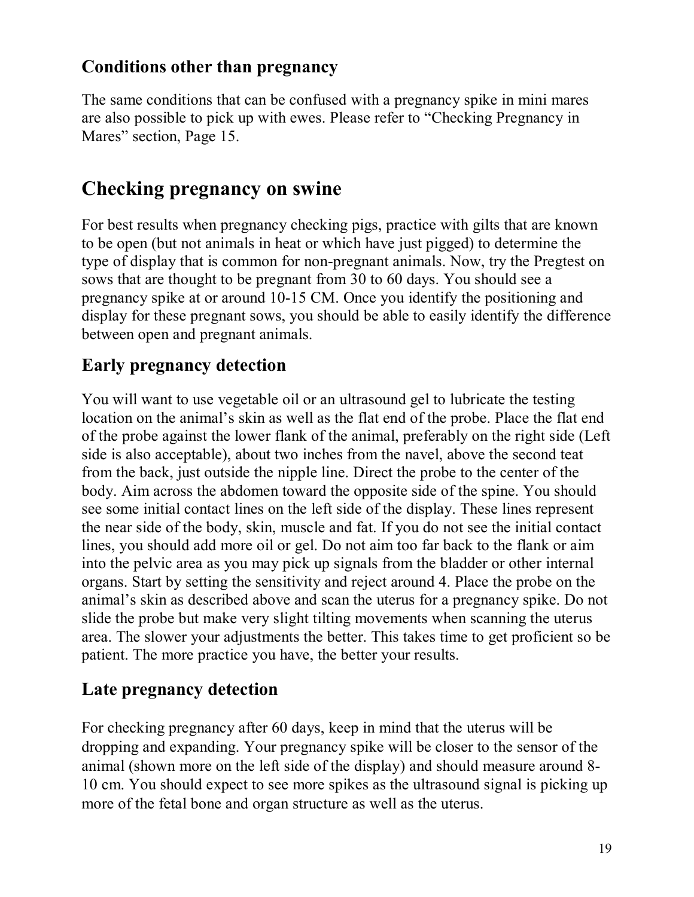#### **Conditions other than pregnancy**

The same conditions that can be confused with a pregnancy spike in mini mares are also possible to pick up with ewes. Please refer to "Checking Pregnancy in Mares" section, Page 15.

## **Checking pregnancy on swine**

For best results when pregnancy checking pigs, practice with gilts that are known to be open (but not animals in heat or which have just pigged) to determine the type of display that is common for non-pregnant animals. Now, try the Pregtest on sows that are thought to be pregnant from 30 to 60 days. You should see a pregnancy spike at or around 10-15 CM. Once you identify the positioning and display for these pregnant sows, you should be able to easily identify the difference between open and pregnant animals.

#### **Early pregnancy detection**

You will want to use vegetable oil or an ultrasound gel to lubricate the testing location on the animal's skin as well as the flat end of the probe. Place the flat end of the probe against the lower flank of the animal, preferably on the right side (Left side is also acceptable), about two inches from the navel, above the second teat from the back, just outside the nipple line. Direct the probe to the center of the body. Aim across the abdomen toward the opposite side of the spine. You should see some initial contact lines on the left side of the display. These lines represent the near side of the body, skin, muscle and fat. If you do not see the initial contact lines, you should add more oil or gel. Do not aim too far back to the flank or aim into the pelvic area as you may pick up signals from the bladder or other internal organs. Start by setting the sensitivity and reject around 4. Place the probe on the animal's skin as described above and scan the uterus for a pregnancy spike. Do not slide the probe but make very slight tilting movements when scanning the uterus area. The slower your adjustments the better. This takes time to get proficient so be patient. The more practice you have, the better your results.

#### **Late pregnancy detection**

For checking pregnancy after 60 days, keep in mind that the uterus will be dropping and expanding. Your pregnancy spike will be closer to the sensor of the animal (shown more on the left side of the display) and should measure around 8- 10 cm. You should expect to see more spikes as the ultrasound signal is picking up more of the fetal bone and organ structure as well as the uterus.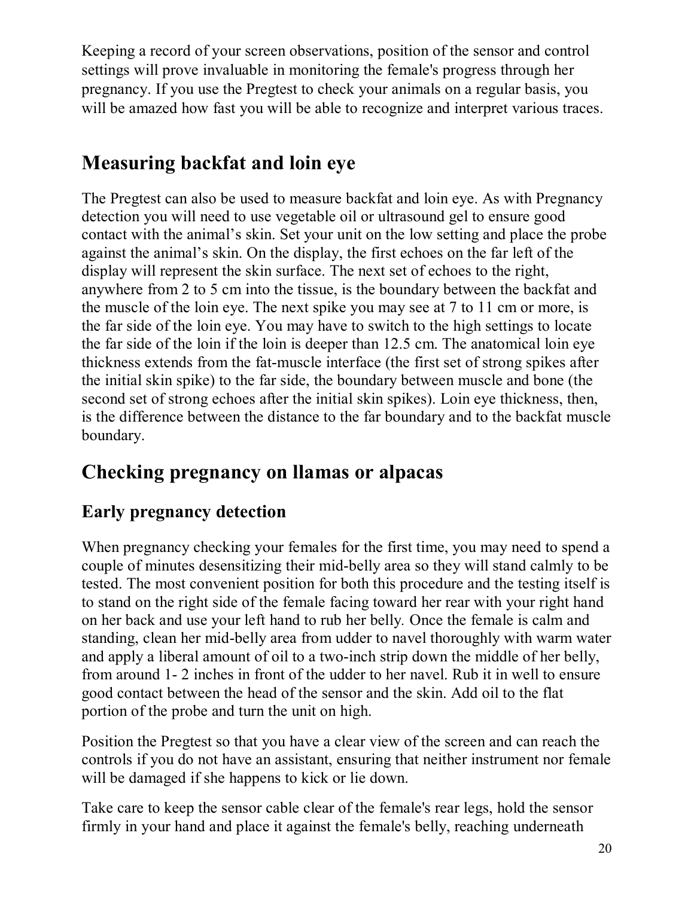Keeping a record of your screen observations, position of the sensor and control settings will prove invaluable in monitoring the female's progress through her pregnancy. If you use the Pregtest to check your animals on a regular basis, you will be amazed how fast you will be able to recognize and interpret various traces.

## **Measuring backfat and loin eye**

The Pregtest can also be used to measure backfat and loin eye. As with Pregnancy detection you will need to use vegetable oil or ultrasound gel to ensure good contact with the animal's skin. Set your unit on the low setting and place the probe against the animal's skin. On the display, the first echoes on the far left of the display will represent the skin surface. The next set of echoes to the right, anywhere from 2 to 5 cm into the tissue, is the boundary between the backfat and the muscle of the loin eye. The next spike you may see at 7 to 11 cm or more, is the far side of the loin eye. You may have to switch to the high settings to locate the far side of the loin if the loin is deeper than 12.5 cm. The anatomical loin eye thickness extends from the fat-muscle interface (the first set of strong spikes after the initial skin spike) to the far side, the boundary between muscle and bone (the second set of strong echoes after the initial skin spikes). Loin eye thickness, then, is the difference between the distance to the far boundary and to the backfat muscle boundary.

## **Checking pregnancy on llamas or alpacas**

## **Early pregnancy detection**

When pregnancy checking your females for the first time, you may need to spend a couple of minutes desensitizing their mid-belly area so they will stand calmly to be tested. The most convenient position for both this procedure and the testing itself is to stand on the right side of the female facing toward her rear with your right hand on her back and use your left hand to rub her belly*.* Once the female is calm and standing, clean her mid-belly area from udder to navel thoroughly with warm water and apply a liberal amount of oil to a two-inch strip down the middle of her belly, from around 1- 2 inches in front of the udder to her navel. Rub it in well to ensure good contact between the head of the sensor and the skin. Add oil to the flat portion of the probe and turn the unit on high.

Position the Pregtest so that you have a clear view of the screen and can reach the controls if you do not have an assistant, ensuring that neither instrument nor female will be damaged if she happens to kick or lie down.

Take care to keep the sensor cable clear of the female's rear legs, hold the sensor firmly in your hand and place it against the female's belly, reaching underneath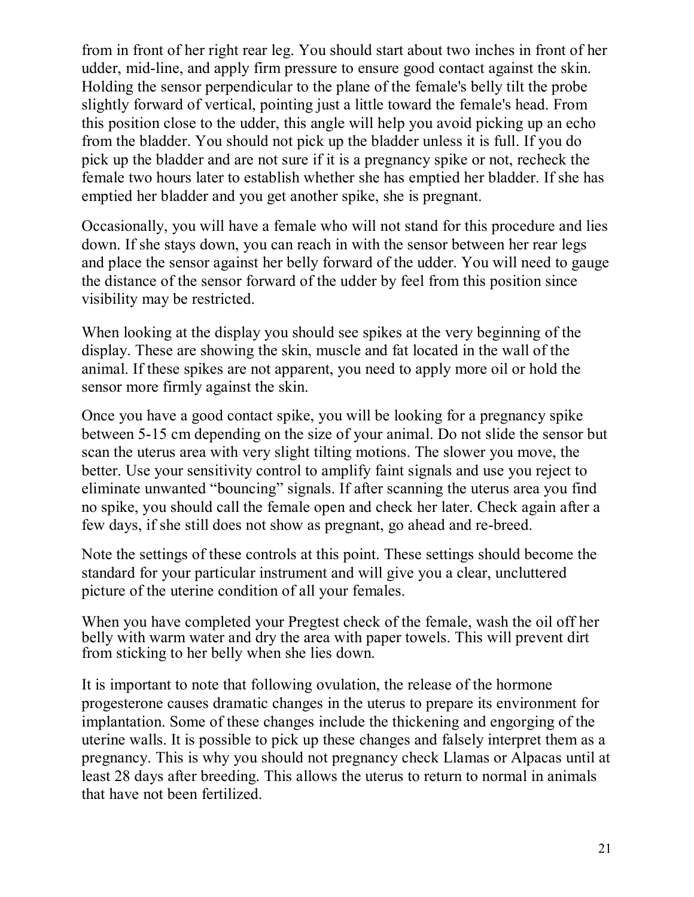from in front of her right rear leg. You should start about two inches in front of her udder, mid-line, and apply firm pressure to ensure good contact against the skin. Holding the sensor perpendicular to the plane of the female's belly tilt the probe slightly forward of vertical, pointing just a little toward the female's head. From this position close to the udder, this angle will help you avoid picking up an echo from the bladder. You should not pick up the bladder unless it is full. If you do pick up the bladder and are not sure if it is a pregnancy spike or not, recheck the female two hours later to establish whether she has emptied her bladder. If she has emptied her bladder and you get another spike, she is pregnant.

Occasionally, you will have a female who will not stand for this procedure and lies down. If she stays down, you can reach in with the sensor between her rear legs and place the sensor against her belly forward of the udder. You will need to gauge the distance of the sensor forward of the udder by feel from this position since visibility may be restricted.

When looking at the display you should see spikes at the very beginning of the display. These are showing the skin, muscle and fat located in the wall of the animal. If these spikes are not apparent, you need to apply more oil or hold the sensor more firmly against the skin.

Once you have a good contact spike, you will be looking for a pregnancy spike between 5-15 cm depending on the size of your animal. Do not slide the sensor but scan the uterus area with very slight tilting motions. The slower you move, the better. Use your sensitivity control to amplify faint signals and use you reject to eliminate unwanted "bouncing" signals. If after scanning the uterus area you find no spike, you should call the female open and check her later. Check again after a few days, if she still does not show as pregnant, go ahead and re-breed.

Note the settings of these controls at this point. These settings should become the standard for your particular instrument and will give you a clear, uncluttered picture of the uterine condition of all your females.

When you have completed your Pregtest check of the female, wash the oil off her belly with warm water and dry the area with paper towels. This will prevent dirt from sticking to her belly when she lies down.

It is important to note that following ovulation, the release of the hormone progesterone causes dramatic changes in the uterus to prepare its environment for implantation. Some of these changes include the thickening and engorging of the uterine walls. It is possible to pick up these changes and falsely interpret them as a pregnancy. This is why you should not pregnancy check Llamas or Alpacas until at least 28 days after breeding. This allows the uterus to return to normal in animals that have not been fertilized.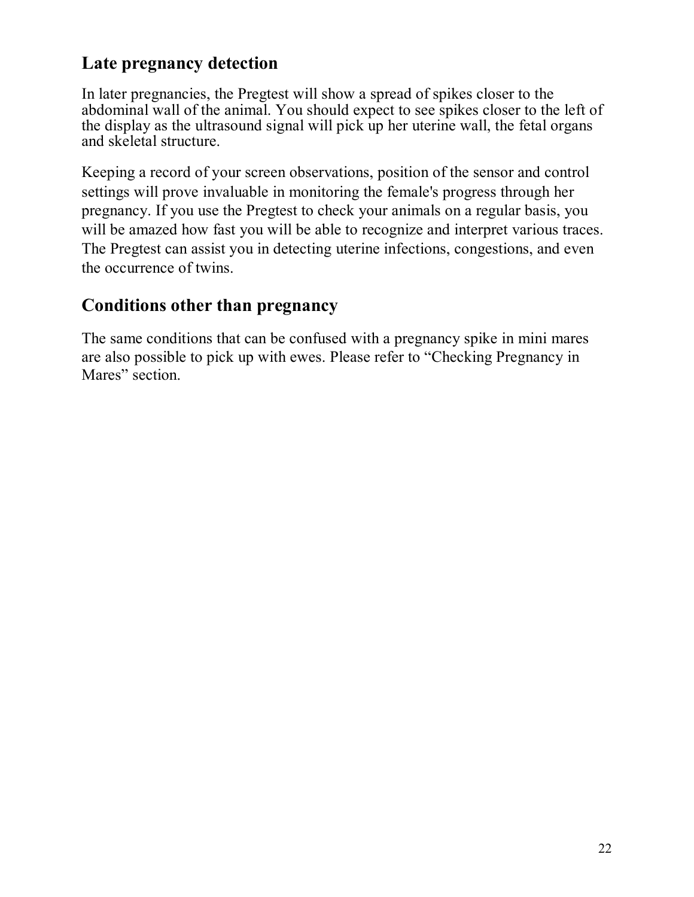#### **Late pregnancy detection**

In later pregnancies, the Pregtest will show a spread of spikes closer to the abdominal wall of the animal. You should expect to see spikes closer to the left of the display as the ultrasound signal will pick up her uterine wall, the fetal organs and skeletal structure.

Keeping a record of your screen observations, position of the sensor and control settings will prove invaluable in monitoring the female's progress through her pregnancy. If you use the Pregtest to check your animals on a regular basis, you will be amazed how fast you will be able to recognize and interpret various traces. The Pregtest can assist you in detecting uterine infections, congestions, and even the occurrence of twins.

#### **Conditions other than pregnancy**

The same conditions that can be confused with a pregnancy spike in mini mares are also possible to pick up with ewes. Please refer to "Checking Pregnancy in Mares" section.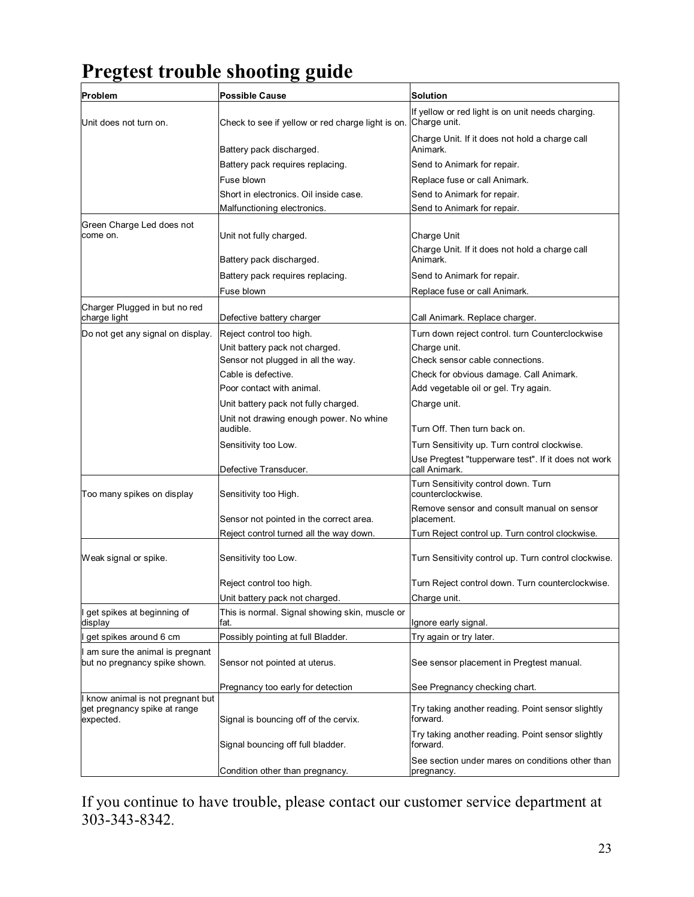## **Pregtest trouble shooting guide**

| Problem                                                                        | <b>Possible Cause</b>                               | <b>Solution</b>                                                      |  |  |
|--------------------------------------------------------------------------------|-----------------------------------------------------|----------------------------------------------------------------------|--|--|
| Unit does not turn on.                                                         | Check to see if yellow or red charge light is on.   | If yellow or red light is on unit needs charging.<br>Charge unit.    |  |  |
|                                                                                | Battery pack discharged.                            | Charge Unit. If it does not hold a charge call<br>Animark.           |  |  |
|                                                                                | Battery pack requires replacing.                    | Send to Animark for repair.                                          |  |  |
|                                                                                | Fuse blown                                          | Replace fuse or call Animark.                                        |  |  |
|                                                                                | Short in electronics. Oil inside case.              | Send to Animark for repair.                                          |  |  |
|                                                                                | Malfunctioning electronics.                         | Send to Animark for repair.                                          |  |  |
| Green Charge Led does not                                                      |                                                     |                                                                      |  |  |
| come on.                                                                       | Unit not fully charged.                             | Charge Unit                                                          |  |  |
|                                                                                |                                                     | Charge Unit. If it does not hold a charge call                       |  |  |
|                                                                                | Battery pack discharged.                            | Animark.                                                             |  |  |
|                                                                                | Battery pack requires replacing.                    | Send to Animark for repair.                                          |  |  |
|                                                                                | Fuse blown                                          | Replace fuse or call Animark.                                        |  |  |
| Charger Plugged in but no red                                                  |                                                     |                                                                      |  |  |
| charge light                                                                   | Defective battery charger                           | Call Animark. Replace charger.                                       |  |  |
| Do not get any signal on display.                                              | Reject control too high.                            | Turn down reject control. turn Counterclockwise                      |  |  |
|                                                                                | Unit battery pack not charged.                      | Charge unit.                                                         |  |  |
|                                                                                | Sensor not plugged in all the way.                  | Check sensor cable connections.                                      |  |  |
|                                                                                | Cable is defective.                                 | Check for obvious damage. Call Animark.                              |  |  |
|                                                                                | Poor contact with animal.                           | Add vegetable oil or gel. Try again.                                 |  |  |
|                                                                                | Unit battery pack not fully charged.                | Charge unit.                                                         |  |  |
|                                                                                | Unit not drawing enough power. No whine<br>audible. | Turn Off. Then turn back on.                                         |  |  |
|                                                                                | Sensitivity too Low.                                | Turn Sensitivity up. Turn control clockwise.                         |  |  |
|                                                                                | Defective Transducer.                               | Use Pregtest "tupperware test". If it does not work<br>call Animark. |  |  |
| Too many spikes on display                                                     | Sensitivity too High.                               | Turn Sensitivity control down. Turn<br>counterclockwise.             |  |  |
|                                                                                | Sensor not pointed in the correct area.             | Remove sensor and consult manual on sensor<br>placement.             |  |  |
|                                                                                | Reject control turned all the way down.             | Turn Reject control up. Turn control clockwise.                      |  |  |
| Weak signal or spike.                                                          | Sensitivity too Low.                                | Turn Sensitivity control up. Turn control clockwise.                 |  |  |
|                                                                                | Reject control too high.                            | Turn Reject control down. Turn counterclockwise.                     |  |  |
|                                                                                | Unit battery pack not charged.                      | Charge unit.                                                         |  |  |
| I get spikes at beginning of                                                   | This is normal. Signal showing skin, muscle or      |                                                                      |  |  |
| display                                                                        | fat.                                                | Ignore early signal.                                                 |  |  |
| I get spikes around 6 cm                                                       | Possibly pointing at full Bladder.                  | Try again or try later.                                              |  |  |
| I am sure the animal is pregnant<br>but no pregnancy spike shown.              | Sensor not pointed at uterus.                       | See sensor placement in Pregtest manual.                             |  |  |
|                                                                                | Pregnancy too early for detection                   | See Pregnancy checking chart.                                        |  |  |
| I know animal is not pregnant but<br>get pregnancy spike at range<br>expected. | Signal is bouncing off of the cervix.               | Try taking another reading. Point sensor slightly<br>forward.        |  |  |
|                                                                                | Signal bouncing off full bladder.                   | Try taking another reading. Point sensor slightly<br>forward.        |  |  |
|                                                                                | Condition other than pregnancy.                     | See section under mares on conditions other than<br>pregnancy.       |  |  |

If you continue to have trouble, please contact our customer service department at 303-343-8342.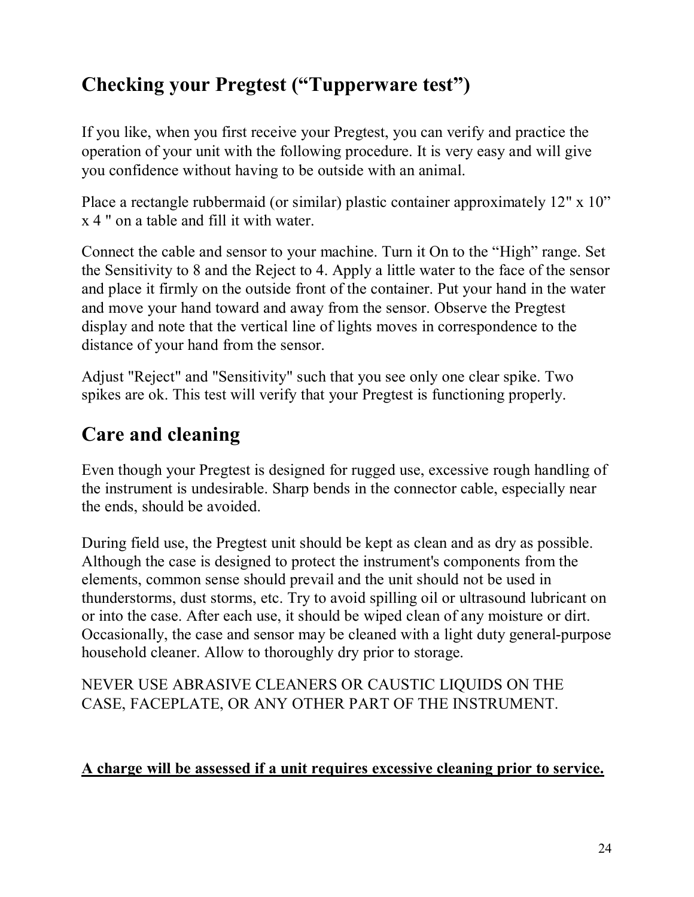## **Checking your Pregtest ("Tupperware test")**

If you like, when you first receive your Pregtest, you can verify and practice the operation of your unit with the following procedure. It is very easy and will give you confidence without having to be outside with an animal.

Place a rectangle rubbermaid (or similar) plastic container approximately 12" x 10" x 4 " on a table and fill it with water.

Connect the cable and sensor to your machine. Turn it On to the "High" range. Set the Sensitivity to 8 and the Reject to 4. Apply a little water to the face of the sensor and place it firmly on the outside front of the container. Put your hand in the water and move your hand toward and away from the sensor. Observe the Pregtest display and note that the vertical line of lights moves in correspondence to the distance of your hand from the sensor.

Adjust "Reject" and "Sensitivity" such that you see only one clear spike. Two spikes are ok. This test will verify that your Pregtest is functioning properly.

## **Care and cleaning**

Even though your Pregtest is designed for rugged use, excessive rough handling of the instrument is undesirable. Sharp bends in the connector cable, especially near the ends, should be avoided.

During field use, the Pregtest unit should be kept as clean and as dry as possible. Although the case is designed to protect the instrument's components from the elements, common sense should prevail and the unit should not be used in thunderstorms, dust storms, etc. Try to avoid spilling oil or ultrasound lubricant on or into the case. After each use, it should be wiped clean of any moisture or dirt. Occasionally, the case and sensor may be cleaned with a light duty general-purpose household cleaner. Allow to thoroughly dry prior to storage.

NEVER USE ABRASIVE CLEANERS OR CAUSTIC LIQUIDS ON THE CASE, FACEPLATE, OR ANY OTHER PART OF THE INSTRUMENT.

#### **A charge will be assessed if a unit requires excessive cleaning prior to service.**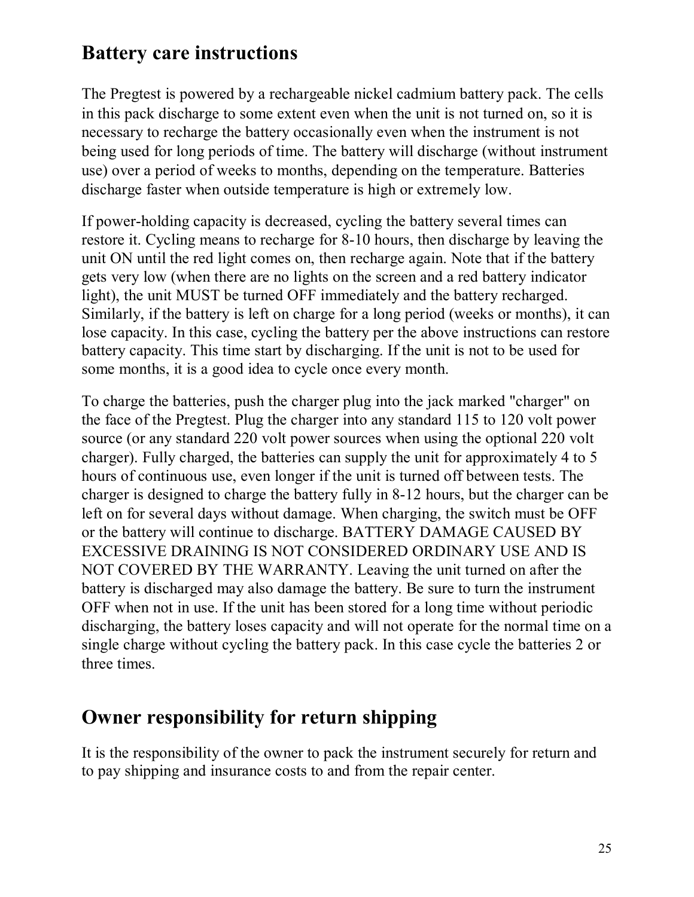## **Battery care instructions**

The Pregtest is powered by a rechargeable nickel cadmium battery pack. The cells in this pack discharge to some extent even when the unit is not turned on, so it is necessary to recharge the battery occasionally even when the instrument is not being used for long periods of time. The battery will discharge (without instrument use) over a period of weeks to months, depending on the temperature. Batteries discharge faster when outside temperature is high or extremely low.

If power-holding capacity is decreased, cycling the battery several times can restore it. Cycling means to recharge for 8-10 hours, then discharge by leaving the unit ON until the red light comes on, then recharge again. Note that if the battery gets very low (when there are no lights on the screen and a red battery indicator light), the unit MUST be turned OFF immediately and the battery recharged. Similarly, if the battery is left on charge for a long period (weeks or months), it can lose capacity. In this case, cycling the battery per the above instructions can restore battery capacity. This time start by discharging. If the unit is not to be used for some months, it is a good idea to cycle once every month.

To charge the batteries, push the charger plug into the jack marked "charger" on the face of the Pregtest. Plug the charger into any standard 115 to 120 volt power source (or any standard 220 volt power sources when using the optional 220 volt charger). Fully charged, the batteries can supply the unit for approximately 4 to 5 hours of continuous use, even longer if the unit is turned off between tests. The charger is designed to charge the battery fully in 8-12 hours, but the charger can be left on for several days without damage. When charging, the switch must be OFF or the battery will continue to discharge. BATTERY DAMAGE CAUSED BY EXCESSIVE DRAINING IS NOT CONSIDERED ORDINARY USE AND IS NOT COVERED BY THE WARRANTY. Leaving the unit turned on after the battery is discharged may also damage the battery. Be sure to turn the instrument OFF when not in use. If the unit has been stored for a long time without periodic discharging, the battery loses capacity and will not operate for the normal time on a single charge without cycling the battery pack. In this case cycle the batteries 2 or three times.

#### **Owner responsibility for return shipping**

It is the responsibility of the owner to pack the instrument securely for return and to pay shipping and insurance costs to and from the repair center.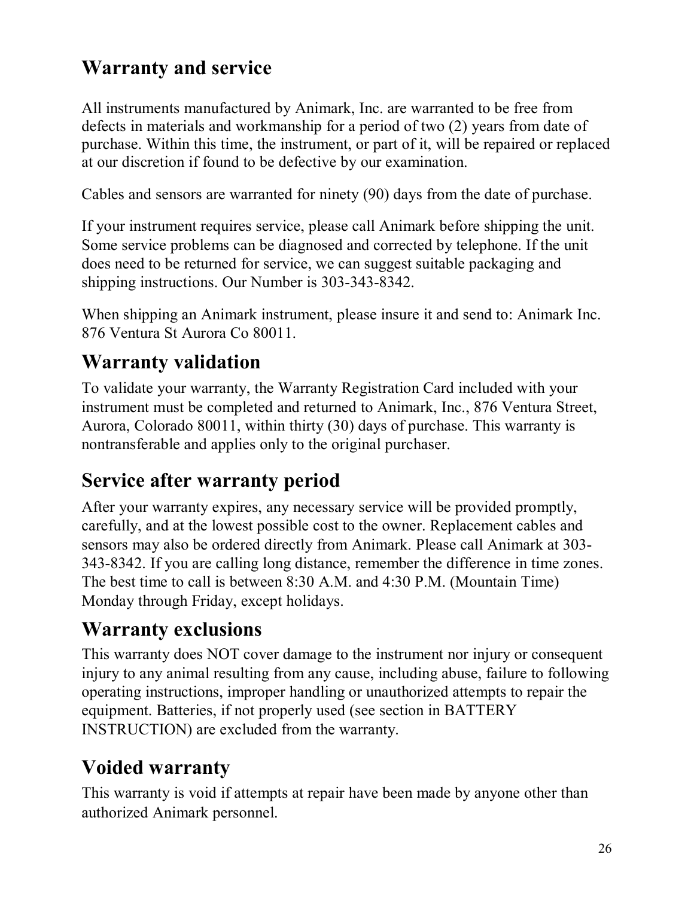## **Warranty and service**

All instruments manufactured by Animark, Inc. are warranted to be free from defects in materials and workmanship for a period of two (2) years from date of purchase. Within this time, the instrument, or part of it, will be repaired or replaced at our discretion if found to be defective by our examination.

Cables and sensors are warranted for ninety (90) days from the date of purchase.

If your instrument requires service, please call Animark before shipping the unit. Some service problems can be diagnosed and corrected by telephone. If the unit does need to be returned for service, we can suggest suitable packaging and shipping instructions. Our Number is 303-343-8342.

When shipping an Animark instrument, please insure it and send to: Animark Inc. 876 Ventura St Aurora Co 80011.

## **Warranty validation**

To validate your warranty, the Warranty Registration Card included with your instrument must be completed and returned to Animark, Inc., 876 Ventura Street, Aurora, Colorado 80011, within thirty (30) days of purchase. This warranty is nontransferable and applies only to the original purchaser.

## **Service after warranty period**

After your warranty expires, any necessary service will be provided promptly, carefully, and at the lowest possible cost to the owner. Replacement cables and sensors may also be ordered directly from Animark. Please call Animark at 303- 343-8342. If you are calling long distance, remember the difference in time zones. The best time to call is between 8:30 A.M. and 4:30 P.M. (Mountain Time) Monday through Friday, except holidays.

## **Warranty exclusions**

This warranty does NOT cover damage to the instrument nor injury or consequent injury to any animal resulting from any cause, including abuse, failure to following operating instructions, improper handling or unauthorized attempts to repair the equipment. Batteries, if not properly used (see section in BATTERY INSTRUCTION) are excluded from the warranty.

## **Voided warranty**

This warranty is void if attempts at repair have been made by anyone other than authorized Animark personnel.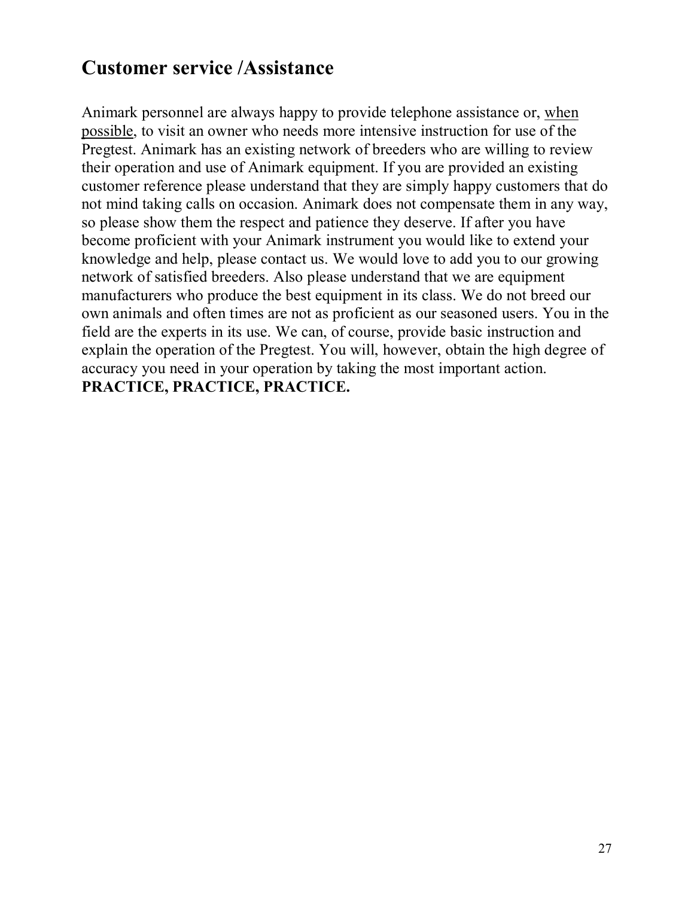## **Customer service /Assistance**

Animark personnel are always happy to provide telephone assistance or, when possible, to visit an owner who needs more intensive instruction for use of the Pregtest. Animark has an existing network of breeders who are willing to review their operation and use of Animark equipment. If you are provided an existing customer reference please understand that they are simply happy customers that do not mind taking calls on occasion. Animark does not compensate them in any way, so please show them the respect and patience they deserve. If after you have become proficient with your Animark instrument you would like to extend your knowledge and help, please contact us. We would love to add you to our growing network of satisfied breeders. Also please understand that we are equipment manufacturers who produce the best equipment in its class. We do not breed our own animals and often times are not as proficient as our seasoned users. You in the field are the experts in its use. We can, of course, provide basic instruction and explain the operation of the Pregtest. You will, however, obtain the high degree of accuracy you need in your operation by taking the most important action. **PRACTICE, PRACTICE, PRACTICE.**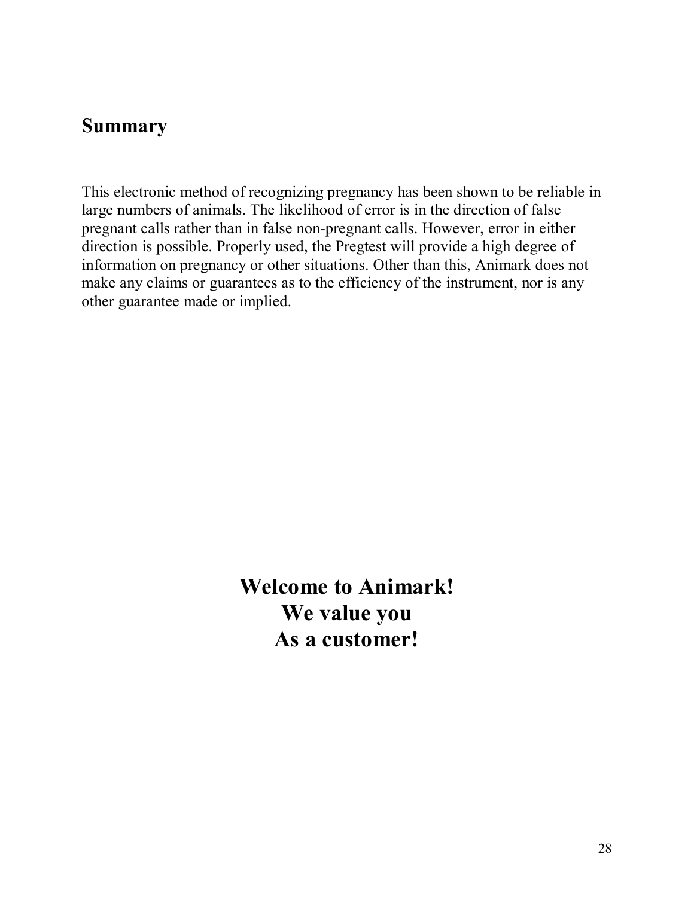#### **Summary**

This electronic method of recognizing pregnancy has been shown to be reliable in large numbers of animals. The likelihood of error is in the direction of false pregnant calls rather than in false non-pregnant calls. However, error in either direction is possible. Properly used, the Pregtest will provide a high degree of information on pregnancy or other situations. Other than this, Animark does not make any claims or guarantees as to the efficiency of the instrument, nor is any other guarantee made or implied.

> **Welcome to Animark! We value you As a customer!**